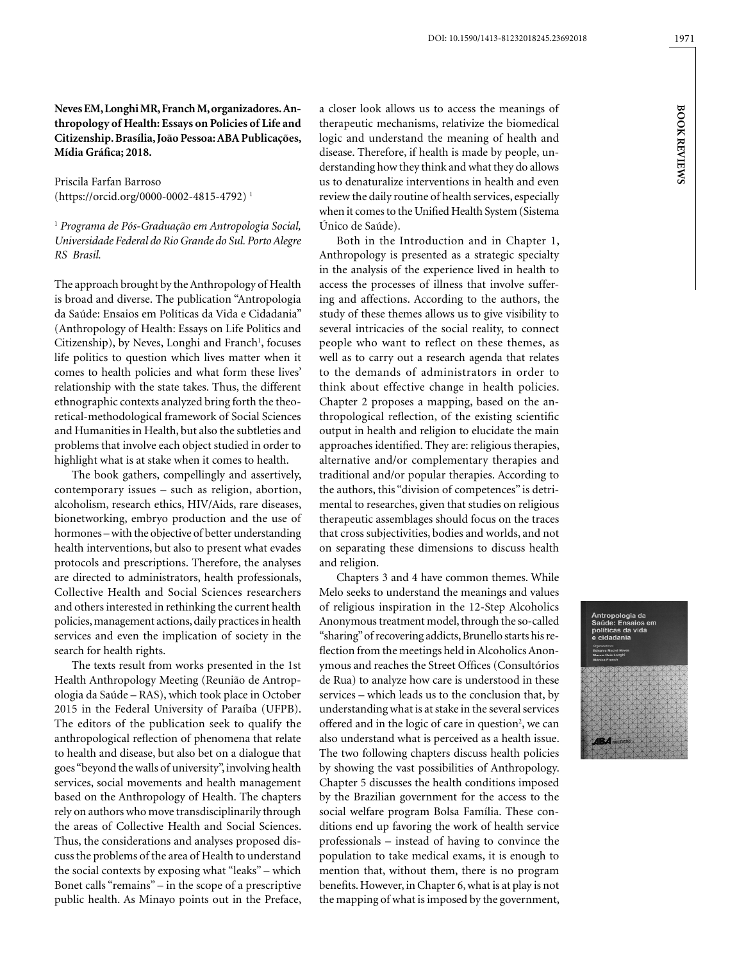**BOOK REVIEWS**

**BOOK REVIEWS** 

1971

**Neves EM, Longhi MR, Franch M, organizadores. Anthropology of Health: Essays on Policies of Life and Citizenship. Brasília, João Pessoa: ABA Publicações, Mídia Gráfica; 2018.**

Priscila Farfan Barroso (https://orcid.org/0000-0002-4815-4792) 1

<sup>1</sup> *Programa de Pós-Graduação em Antropologia Social, Universidade Federal do Rio Grande do Sul. Porto Alegre RS Brasil.*

The approach brought by the Anthropology of Health is broad and diverse. The publication "Antropologia da Saúde: Ensaios em Políticas da Vida e Cidadania" (Anthropology of Health: Essays on Life Politics and Citizenship), by Neves, Longhi and Franch<sup>1</sup>, focuses life politics to question which lives matter when it comes to health policies and what form these lives' relationship with the state takes. Thus, the different ethnographic contexts analyzed bring forth the theoretical-methodological framework of Social Sciences and Humanities in Health, but also the subtleties and problems that involve each object studied in order to highlight what is at stake when it comes to health.

The book gathers, compellingly and assertively, contemporary issues – such as religion, abortion, alcoholism, research ethics, HIV/Aids, rare diseases, bionetworking, embryo production and the use of hormones – with the objective of better understanding health interventions, but also to present what evades protocols and prescriptions. Therefore, the analyses are directed to administrators, health professionals, Collective Health and Social Sciences researchers and others interested in rethinking the current health policies, management actions, daily practices in health services and even the implication of society in the search for health rights.

The texts result from works presented in the 1st Health Anthropology Meeting (Reunião de Antropologia da Saúde – RAS), which took place in October 2015 in the Federal University of Paraíba (UFPB). The editors of the publication seek to qualify the anthropological reflection of phenomena that relate to health and disease, but also bet on a dialogue that goes "beyond the walls of university", involving health services, social movements and health management based on the Anthropology of Health. The chapters rely on authors who move transdisciplinarily through the areas of Collective Health and Social Sciences. Thus, the considerations and analyses proposed discuss the problems of the area of Health to understand the social contexts by exposing what "leaks" – which Bonet calls "remains" – in the scope of a prescriptive public health. As Minayo points out in the Preface, a closer look allows us to access the meanings of therapeutic mechanisms, relativize the biomedical logic and understand the meaning of health and disease. Therefore, if health is made by people, understanding how they think and what they do allows us to denaturalize interventions in health and even review the daily routine of health services, especially when it comes to the Unified Health System (Sistema Único de Saúde).

Both in the Introduction and in Chapter 1, Anthropology is presented as a strategic specialty in the analysis of the experience lived in health to access the processes of illness that involve suffering and affections. According to the authors, the study of these themes allows us to give visibility to several intricacies of the social reality, to connect people who want to reflect on these themes, as well as to carry out a research agenda that relates to the demands of administrators in order to think about effective change in health policies. Chapter 2 proposes a mapping, based on the anthropological reflection, of the existing scientific output in health and religion to elucidate the main approaches identified. They are: religious therapies, alternative and/or complementary therapies and traditional and/or popular therapies. According to the authors, this "division of competences" is detrimental to researches, given that studies on religious therapeutic assemblages should focus on the traces that cross subjectivities, bodies and worlds, and not on separating these dimensions to discuss health and religion.

Chapters 3 and 4 have common themes. While Melo seeks to understand the meanings and values of religious inspiration in the 12-Step Alcoholics Anonymous treatment model, through the so-called "sharing" of recovering addicts, Brunello starts his reflection from the meetings held in Alcoholics Anonymous and reaches the Street Offices (Consultórios de Rua) to analyze how care is understood in these services – which leads us to the conclusion that, by understanding what is at stake in the several services offered and in the logic of care in question<sup>2</sup>, we can also understand what is perceived as a health issue. The two following chapters discuss health policies by showing the vast possibilities of Anthropology. Chapter 5 discusses the health conditions imposed by the Brazilian government for the access to the social welfare program Bolsa Família. These conditions end up favoring the work of health service professionals – instead of having to convince the population to take medical exams, it is enough to mention that, without them, there is no program benefits. However, in Chapter 6, what is at play is not the mapping of what is imposed by the government,